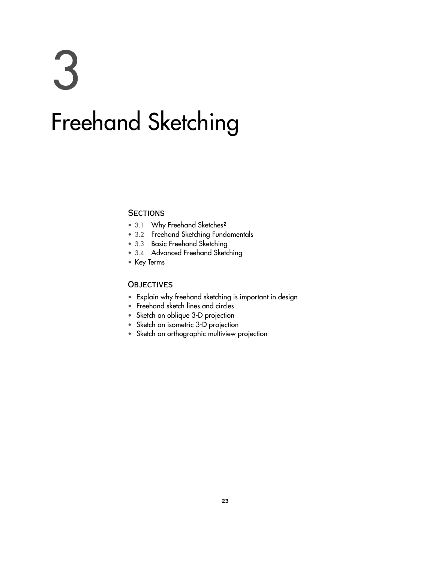# 3 Freehand Sketching

# **SECTIONS**

- 3.1 Why Freehand Sketches?
- 3.2 Freehand Sketching Fundamentals
- 3.3 Basic Freehand Sketching
- 3.4 Advanced Freehand Sketching
- Key Terms

## **OBJECTIVES**

- Explain why freehand sketching is important in design
- Freehand sketch lines and circles
- Sketch an oblique 3-D projection
- Sketch an isometric 3-D projection
- Sketch an orthographic multiview projection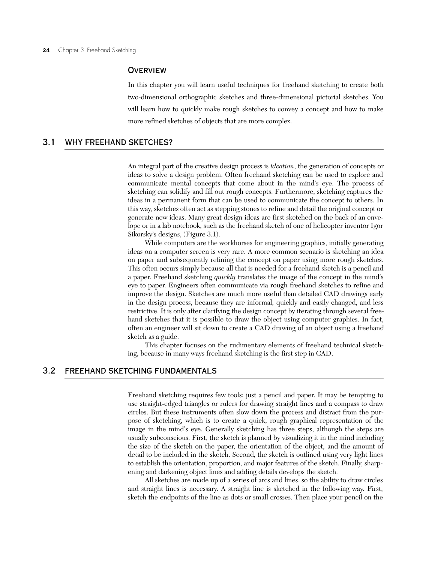#### **OVERVIEW**

In this chapter you will learn useful techniques for freehand sketching to create both two-dimensional orthographic sketches and three-dimensional pictorial sketches. You will learn how to quickly make rough sketches to convey a concept and how to make more refined sketches of objects that are more complex.

# 3.1 WHY FREEHAND SKETCHES?

An integral part of the creative design process is *ideation*, the generation of concepts or ideas to solve a design problem. Often freehand sketching can be used to explore and communicate mental concepts that come about in the mind's eye. The process of sketching can solidify and fill out rough concepts. Furthermore, sketching captures the ideas in a permanent form that can be used to communicate the concept to others. In this way, sketches often act as stepping stones to refine and detail the original concept or generate new ideas. Many great design ideas are first sketched on the back of an envelope or in a lab notebook, such as the freehand sketch of one of helicopter inventor Igor Sikorsky's designs, (Figure 3.1).

While computers are the workhorses for engineering graphics, initially generating ideas on a computer screen is very rare. A more common scenario is sketching an idea on paper and subsequently refining the concept on paper using more rough sketches. This often occurs simply because all that is needed for a freehand sketch is a pencil and a paper. Freehand sketching *quickly* translates the image of the concept in the mind's eye to paper. Engineers often communicate via rough freehand sketches to refine and improve the design. Sketches are much more useful than detailed CAD drawings early in the design process, because they are informal, quickly and easily changed, and less restrictive. It is only after clarifying the design concept by iterating through several freehand sketches that it is possible to draw the object using computer graphics. In fact, often an engineer will sit down to create a CAD drawing of an object using a freehand sketch as a guide.

This chapter focuses on the rudimentary elements of freehand technical sketching, because in many ways freehand sketching is the first step in CAD.

# 3.2 FREEHAND SKETCHING FUNDAMENTALS

Freehand sketching requires few tools: just a pencil and paper. It may be tempting to use straight-edged triangles or rulers for drawing straight lines and a compass to draw circles. But these instruments often slow down the process and distract from the purpose of sketching, which is to create a quick, rough graphical representation of the image in the mind's eye. Generally sketching has three steps, although the steps are usually subconscious. First, the sketch is planned by visualizing it in the mind including the size of the sketch on the paper, the orientation of the object, and the amount of detail to be included in the sketch. Second, the sketch is outlined using very light lines to establish the orientation, proportion, and major features of the sketch. Finally, sharpening and darkening object lines and adding details develops the sketch.

All sketches are made up of a series of arcs and lines, so the ability to draw circles and straight lines is necessary. A straight line is sketched in the following way. First, sketch the endpoints of the line as dots or small crosses. Then place your pencil on the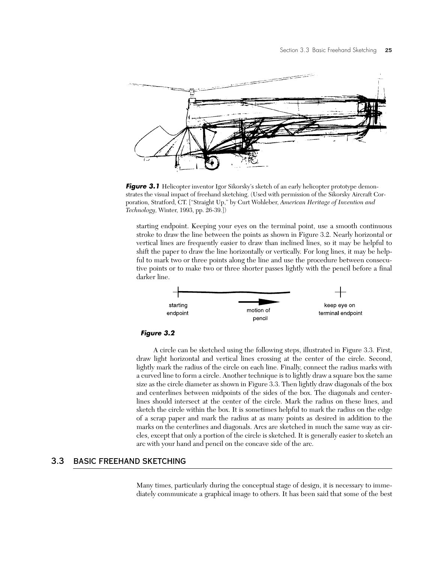

**Figure 3.1** Helicopter inventor Igor Sikorsky's sketch of an early helicopter prototype demonstrates the visual impact of freehand sketching. (Used with permission of the Sikorsky Aircraft Corporation, Stratford, CT. ["Straight Up," by Curt Wohleber, *American Heritage of Invention and Technology,* Winter, 1993, pp. 26-39.])

starting endpoint. Keeping your eyes on the terminal point, use a smooth continuous stroke to draw the line between the points as shown in Figure 3.2. Nearly horizontal or vertical lines are frequently easier to draw than inclined lines, so it may be helpful to shift the paper to draw the line horizontally or vertically. For long lines, it may be helpful to mark two or three points along the line and use the procedure between consecutive points or to make two or three shorter passes lightly with the pencil before a final darker line.



#### **Figure 3.2**

A circle can be sketched using the following steps, illustrated in Figure 3.3. First, draw light horizontal and vertical lines crossing at the center of the circle. Second, lightly mark the radius of the circle on each line. Finally, connect the radius marks with a curved line to form a circle. Another technique is to lightly draw a square box the same size as the circle diameter as shown in Figure 3.3. Then lightly draw diagonals of the box and centerlines between midpoints of the sides of the box. The diagonals and centerlines should intersect at the center of the circle. Mark the radius on these lines, and sketch the circle within the box. It is sometimes helpful to mark the radius on the edge of a scrap paper and mark the radius at as many points as desired in addition to the marks on the centerlines and diagonals. Arcs are sketched in much the same way as circles, except that only a portion of the circle is sketched. It is generally easier to sketch an arc with your hand and pencil on the concave side of the arc.

## 3.3 BASIC FREEHAND SKETCHING

Many times, particularly during the conceptual stage of design, it is necessary to immediately communicate a graphical image to others. It has been said that some of the best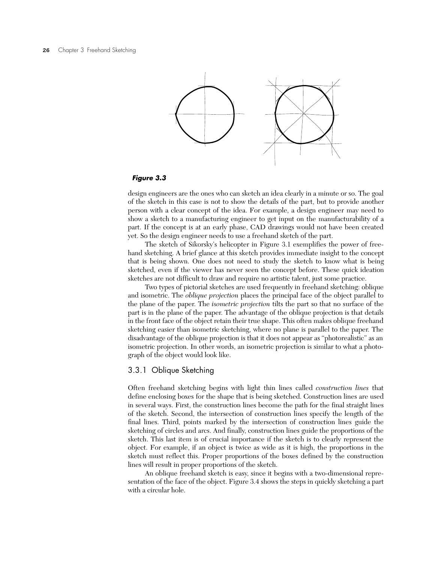

#### **Figure 3.3**

design engineers are the ones who can sketch an idea clearly in a minute or so. The goal of the sketch in this case is not to show the details of the part, but to provide another person with a clear concept of the idea. For example, a design engineer may need to show a sketch to a manufacturing engineer to get input on the manufacturability of a part. If the concept is at an early phase, CAD drawings would not have been created yet. So the design engineer needs to use a freehand sketch of the part.

The sketch of Sikorsky's helicopter in Figure 3.1 exemplifies the power of freehand sketching. A brief glance at this sketch provides immediate insight to the concept that is being shown. One does not need to study the sketch to know what is being sketched, even if the viewer has never seen the concept before. These quick ideation sketches are not difficult to draw and require no artistic talent, just some practice.

Two types of pictorial sketches are used frequently in freehand sketching: oblique and isometric. The *oblique projection* places the principal face of the object parallel to the plane of the paper. The *isometric projection* tilts the part so that no surface of the part is in the plane of the paper. The advantage of the oblique projection is that details in the front face of the object retain their true shape. This often makes oblique freehand sketching easier than isometric sketching, where no plane is parallel to the paper. The disadvantage of the oblique projection is that it does not appear as "photorealistic" as an isometric projection. In other words, an isometric projection is similar to what a photograph of the object would look like.

#### 3.3.1 Oblique Sketching

Often freehand sketching begins with light thin lines called *construction lines* that define enclosing boxes for the shape that is being sketched. Construction lines are used in several ways. First, the construction lines become the path for the final straight lines of the sketch. Second, the intersection of construction lines specify the length of the final lines. Third, points marked by the intersection of construction lines guide the sketching of circles and arcs. And finally, construction lines guide the proportions of the sketch. This last item is of crucial importance if the sketch is to clearly represent the object. For example, if an object is twice as wide as it is high, the proportions in the sketch must reflect this. Proper proportions of the boxes defined by the construction lines will result in proper proportions of the sketch.

An oblique freehand sketch is easy, since it begins with a two-dimensional representation of the face of the object. Figure 3.4 shows the steps in quickly sketching a part with a circular hole.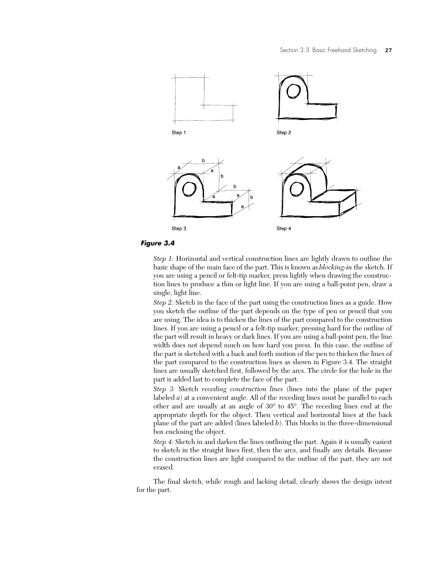

**Figure 3.4** 

*Step 1:* Horizontal and vertical construction lines are lightly drawn to outline the basic shape of the main face of the part. This is known as *blocking-in* the sketch. If you are using a pencil or felt-tip marker, press lightly when drawing the construction lines to produce a thin or light line. If you are using a ball-point pen, draw a single, light line.

*Step 2:* Sketch in the face of the part using the construction lines as a guide. How you sketch the outline of the part depends on the type of pen or pencil that you are using. The idea is to thicken the lines of the part compared to the construction lines. If you are using a pencil or a felt-tip marker, pressing hard for the outline of the part will result in heavy or dark lines. If you are using a ball-point pen, the line width does not depend much on how hard you press. In this case, the outline of the part is sketched with a back and forth motion of the pen to thicken the lines of the part compared to the construction lines as shown in Figure 3.4. The straight lines are usually sketched first, followed by the arcs. The circle for the hole in the part is added last to complete the face of the part.

*Step 3:* Sketch *receding construction lines* (lines into the plane of the paper labeled *a*) at a convenient angle. All of the receding lines must be parallel to each other and are usually at an angle of 30° to 45°. The receding lines end at the appropriate depth for the object. Then vertical and horizontal lines at the back plane of the part are added (lines labeled *b*). This blocks in the three-dimensional box enclosing the object.

*Step 4:* Sketch in and darken the lines outlining the part. Again it is usually easiest to sketch in the straight lines first, then the arcs, and finally any details. Because the construction lines are light compared to the outline of the part, they are not erased.

The final sketch, while rough and lacking detail, clearly shows the design intent for the part.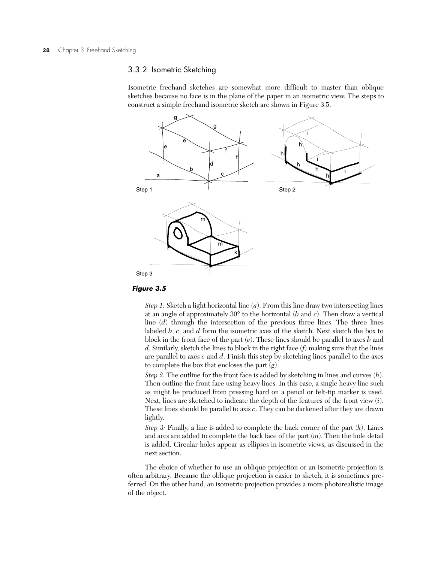#### 3.3.2 Isometric Sketching

Isometric freehand sketches are somewhat more difficult to master than oblique sketches because no face is in the plane of the paper in an isometric view. The steps to construct a simple freehand isometric sketch are shown in Figure 3.5.





*Step 1:* Sketch a light horizontal line (*a*). From this line draw two intersecting lines at an angle of approximately 30° to the horizontal (*b* and *c*). Then draw a vertical line (*d*) through the intersection of the previous three lines. The three lines labeled *b*, *c*, and *d* form the isometric axes of the sketch. Next sketch the box to block in the front face of the part (*e*). These lines should be parallel to axes *b* and *d*. Similarly, sketch the lines to block in the right face (*f*) making sure that the lines are parallel to axes *c* and *d*. Finish this step by sketching lines parallel to the axes to complete the box that encloses the part (*g*).

*Step 2:* The outline for the front face is added by sketching in lines and curves (*h*). Then outline the front face using heavy lines. In this case, a single heavy line such as might be produced from pressing hard on a pencil or felt-tip marker is used. Next, lines are sketched to indicate the depth of the features of the front view (*i*). These lines should be parallel to axis *c*. They can be darkened after they are drawn lightly.

*Step 3:* Finally, a line is added to complete the back corner of the part (*k*). Lines and arcs are added to complete the back face of the part (*m*). Then the hole detail is added. Circular holes appear as ellipses in isometric views, as discussed in the next section.

The choice of whether to use an oblique projection or an isometric projection is often arbitrary. Because the oblique projection is easier to sketch, it is sometimes preferred. On the other hand, an isometric projection provides a more photorealistic image of the object.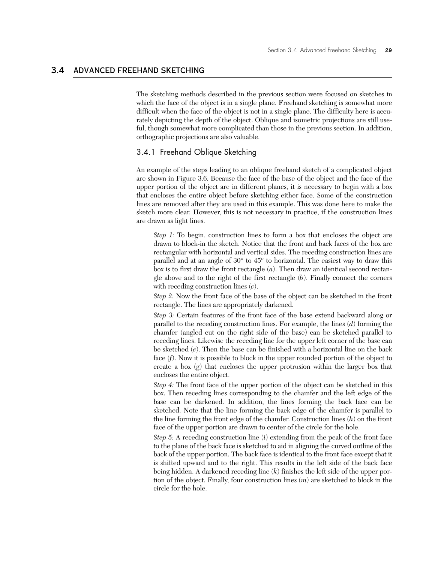The sketching methods described in the previous section were focused on sketches in which the face of the object is in a single plane. Freehand sketching is somewhat more difficult when the face of the object is not in a single plane. The difficulty here is accurately depicting the depth of the object. Oblique and isometric projections are still useful, though somewhat more complicated than those in the previous section. In addition, orthographic projections are also valuable.

#### 3.4.1 Freehand Oblique Sketching

An example of the steps leading to an oblique freehand sketch of a complicated object are shown in Figure 3.6. Because the face of the base of the object and the face of the upper portion of the object are in different planes, it is necessary to begin with a box that encloses the entire object before sketching either face. Some of the construction lines are removed after they are used in this example. This was done here to make the sketch more clear. However, this is not necessary in practice, if the construction lines are drawn as light lines.

*Step 1:* To begin, construction lines to form a box that encloses the object are drawn to block-in the sketch. Notice that the front and back faces of the box are rectangular with horizontal and vertical sides. The receding construction lines are parallel and at an angle of 30° to 45° to horizontal. The easiest way to draw this box is to first draw the front rectangle (*a*). Then draw an identical second rectangle above and to the right of the first rectangle (*b*). Finally connect the corners with receding construction lines (*c*).

*Step 2:* Now the front face of the base of the object can be sketched in the front rectangle. The lines are appropriately darkened.

*Step 3:* Certain features of the front face of the base extend backward along or parallel to the receding construction lines. For example, the lines (*d*) forming the chamfer (angled cut on the right side of the base) can be sketched parallel to receding lines. Likewise the receding line for the upper left corner of the base can be sketched (*e*). Then the base can be finished with a horizontal line on the back face (*f*). Now it is possible to block in the upper rounded portion of the object to create a box (*g*) that encloses the upper protrusion within the larger box that encloses the entire object.

*Step 4:* The front face of the upper portion of the object can be sketched in this box. Then receding lines corresponding to the chamfer and the left edge of the base can be darkened. In addition, the lines forming the back face can be sketched. Note that the line forming the back edge of the chamfer is parallel to the line forming the front edge of the chamfer. Construction lines (*h*) on the front face of the upper portion are drawn to center of the circle for the hole.

*Step 5:* A receding construction line (*i*) extending from the peak of the front face to the plane of the back face is sketched to aid in aligning the curved outline of the back of the upper portion. The back face is identical to the front face except that it is shifted upward and to the right. This results in the left side of the back face being hidden. A darkened receding line (*k*) finishes the left side of the upper portion of the object. Finally, four construction lines (*m*) are sketched to block in the circle for the hole.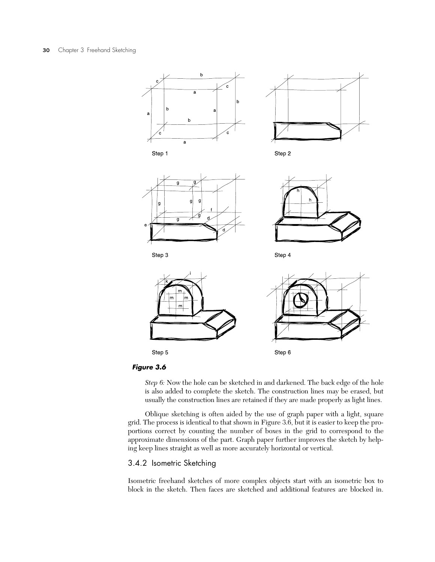



*Step 6:* Now the hole can be sketched in and darkened. The back edge of the hole is also added to complete the sketch. The construction lines may be erased, but usually the construction lines are retained if they are made properly as light lines.

Oblique sketching is often aided by the use of graph paper with a light, square grid. The process is identical to that shown in Figure 3.6, but it is easier to keep the proportions correct by counting the number of boxes in the grid to correspond to the approximate dimensions of the part. Graph paper further improves the sketch by helping keep lines straight as well as more accurately horizontal or vertical.

#### 3.4.2 Isometric Sketching

Isometric freehand sketches of more complex objects start with an isometric box to block in the sketch. Then faces are sketched and additional features are blocked in.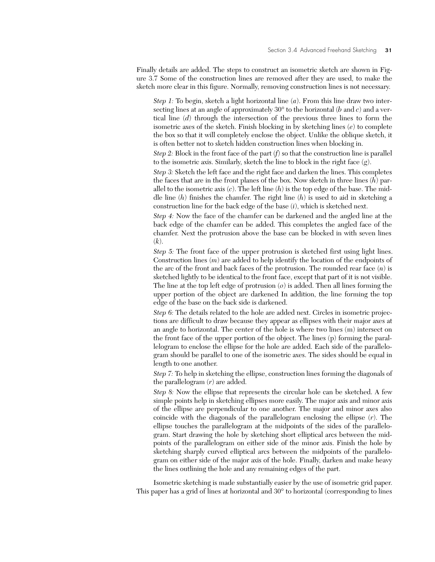Finally details are added. The steps to construct an isometric sketch are shown in Figure 3.7 Some of the construction lines are removed after they are used, to make the sketch more clear in this figure. Normally, removing construction lines is not necessary.

*Step 1:* To begin, sketch a light horizontal line (*a*). From this line draw two intersecting lines at an angle of approximately 30° to the horizontal (*b* and *c*) and a vertical line (*d*) through the intersection of the previous three lines to form the isometric axes of the sketch. Finish blocking in by sketching lines (*e*) to complete the box so that it will completely enclose the object. Unlike the oblique sketch, it is often better not to sketch hidden construction lines when blocking in.

*Step 2:* Block in the front face of the part (*f*) so that the construction line is parallel to the isometric axis. Similarly, sketch the line to block in the right face (*g*).

*Step 3:* Sketch the left face and the right face and darken the lines. This completes the faces that are in the front planes of the box. Now sketch in three lines (*h*) parallel to the isometric axis (*c*). The left line (*h*) is the top edge of the base. The middle line (*h*) finishes the chamfer. The right line (*h*) is used to aid in sketching a construction line for the back edge of the base (*i*), which is sketched next.

*Step 4:* Now the face of the chamfer can be darkened and the angled line at the back edge of the chamfer can be added. This completes the angled face of the chamfer. Next the protrusion above the base can be blocked in with seven lines (*k*).

*Step 5:* The front face of the upper protrusion is sketched first using light lines. Construction lines (*m*) are added to help identify the location of the endpoints of the arc of the front and back faces of the protrusion. The rounded rear face (*n*) is sketched lightly to be identical to the front face, except that part of it is not visible. The line at the top left edge of protrusion (*o*) is added. Then all lines forming the upper portion of the object are darkened In addition, the line forming the top edge of the base on the back side is darkened.

*Step 6:* The details related to the hole are added next. Circles in isometric projections are difficult to draw because they appear as ellipses with their major axes at an angle to horizontal. The center of the hole is where two lines (m) intersect on the front face of the upper portion of the object. The lines (p) forming the parallelogram to enclose the ellipse for the hole are added. Each side of the parallelogram should be parallel to one of the isometric axes. The sides should be equal in length to one another.

*Step 7:* To help in sketching the ellipse, construction lines forming the diagonals of the parallelogram (*r*) are added.

*Step 8:* Now the ellipse that represents the circular hole can be sketched. A few simple points help in sketching ellipses more easily. The major axis and minor axis of the ellipse are perpendicular to one another. The major and minor axes also coincide with the diagonals of the parallelogram enclosing the ellipse (*r*). The ellipse touches the parallelogram at the midpoints of the sides of the parallelogram. Start drawing the hole by sketching short elliptical arcs between the midpoints of the parallelogram on either side of the minor axis. Finish the hole by sketching sharply curved elliptical arcs between the midpoints of the parallelogram on either side of the major axis of the hole. Finally, darken and make heavy the lines outlining the hole and any remaining edges of the part.

Isometric sketching is made substantially easier by the use of isometric grid paper. This paper has a grid of lines at horizontal and 30° to horizontal (corresponding to lines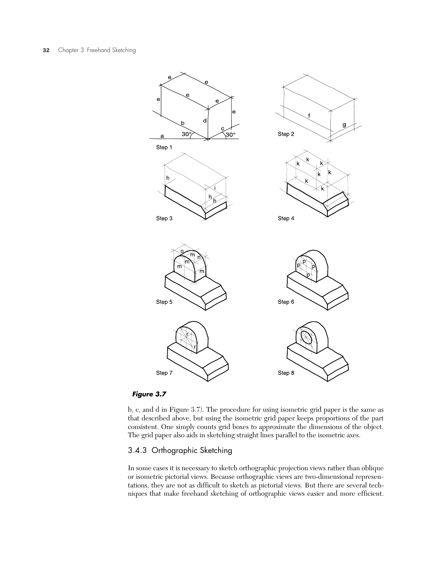

**Figure 3.7** 

b, c, and d in Figure 3.7). The procedure for using isometric grid paper is the same as that described above, but using the isometric grid paper keeps proportions of the part consistent. One simply counts grid boxes to approximate the dimensions of the object. The grid paper also aids in sketching straight lines parallel to the isometric axes.

## 3.4.3 Orthographic Sketching

In some cases it is necessary to sketch orthographic projection views rather than oblique or isometric pictorial views. Because orthographic views are two-dimensional representations, they are not as difficult to sketch as pictorial views. But there are several techniques that make freehand sketching of orthographic views easier and more efficient.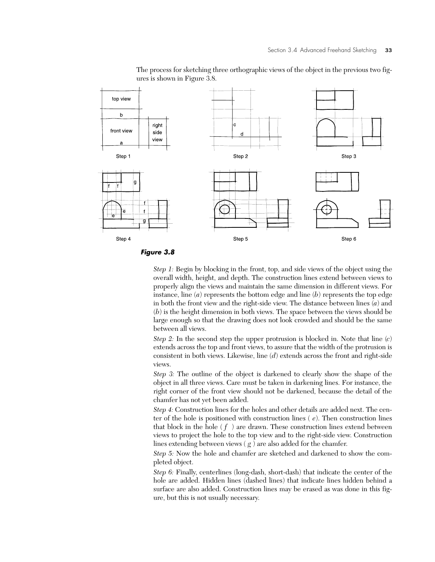

The process for sketching three orthographic views of the object in the previous two figures is shown in Figure 3.8.



*Step 1:* Begin by blocking in the front, top, and side views of the object using the overall width, height, and depth. The construction lines extend between views to properly align the views and maintain the same dimension in different views. For instance, line (*a*) represents the bottom edge and line (*b*) represents the top edge in both the front view and the right-side view. The distance between lines (*a*) and (*b*) is the height dimension in both views. The space between the views should be large enough so that the drawing does not look crowded and should be the same between all views.

*Step 2:* In the second step the upper protrusion is blocked in. Note that line (*c*) extends across the top and front views, to assure that the width of the protrusion is consistent in both views. Likewise, line (*d*) extends across the front and right-side views.

*Step 3:* The outline of the object is darkened to clearly show the shape of the object in all three views. Care must be taken in darkening lines. For instance, the right corner of the front view should not be darkened, because the detail of the chamfer has not yet been added.

*Step 4:* Construction lines for the holes and other details are added next. The center of the hole is positioned with construction lines ( *e*). Then construction lines that block in the hole  $(f)$  are drawn. These construction lines extend between views to project the hole to the top view and to the right-side view. Construction lines extending between views ( *g* ) are also added for the chamfer.

*Step 5:* Now the hole and chamfer are sketched and darkened to show the completed object.

*Step 6:* Finally, centerlines (long-dash, short-dash) that indicate the center of the hole are added. Hidden lines (dashed lines) that indicate lines hidden behind a surface are also added. Construction lines may be erased as was done in this figure, but this is not usually necessary.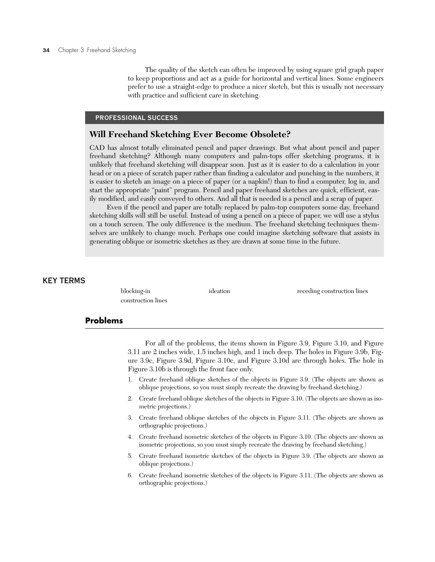The quality of the sketch can often be improved by using square grid graph paper to keep proportions and act as a guide for horizontal and vertical lines. Some engineers prefer to use a straight-edge to produce a nicer sketch, but this is usually not necessary with practice and sufficient care in sketching.

#### PROFESSIONAL SUCCESS

#### **Will Freehand Sketching Ever Become Obsolete?**

CAD has almost totally eliminated pencil and paper drawings. But what about pencil and paper freehand sketching? Although many computers and palm-tops offer sketching programs, it is unlikely that freehand sketching will disappear soon. Just as it is easier to do a calculation in your head or on a piece of scratch paper rather than finding a calculator and punching in the numbers, it is easier to sketch an image on a piece of paper (or a napkin!) than to find a computer, log in, and start the appropriate "paint" program. Pencil and paper freehand sketches are quick, efficient, easily modified, and easily conveyed to others. And all that is needed is a pencil and a scrap of paper.

Even if the pencil and paper are totally replaced by palm-top computers some day, freehand sketching skills will still be useful. Instead of using a pencil on a piece of paper, we will use a stylus on a touch screen. The only difference is the medium. The freehand sketching techniques themselves are unlikely to change much. Perhaps one could imagine sketching software that assists in generating oblique or isometric sketches as they are drawn at some time in the future.

#### KEY TERMS

construction lines

blocking-in ideation ideation receding construction lines

## **Problems**

For all of the problems, the items shown in Figure 3.9, Figure 3.10, and Figure 3.11 are 2 inches wide, 1.5 inches high, and 1 inch deep. The holes in Figure 3.9b, Figure 3.9c, Figure 3.9d, Figure 3.10c, and Figure 3.10d are through holes. The hole in Figure 3.10b is through the front face only.

- 1. Create freehand oblique sketches of the objects in Figure 3.9. (The objects are shown as oblique projections, so you must simply recreate the drawing by freehand sketching.)
- 2. Create freehand oblique sketches of the objects in Figure 3.10. (The objects are shown as isometric projections.)
- 3. Create freehand oblique sketches of the objects in Figure 3.11. (The objects are shown as orthographic projections.)
- 4. Create freehand isometric sketches of the objects in Figure 3.10. (The objects are shown as isometric projections, so you must simply recreate the drawing by freehand sketching.)
- 5. Create freehand isometric sketches of the objects in Figure 3.9. (The objects are shown as oblique projections.)
- 6. Create freehand isometric sketches of the objects in Figure 3.11. (The objects are shown as orthographic projections.)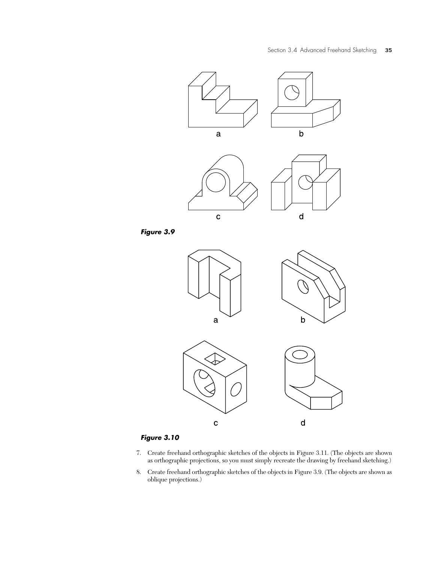

# **Figure 3.10**

- 7. Create freehand orthographic sketches of the objects in Figure 3.11. (The objects are shown as orthographic projections, so you must simply recreate the drawing by freehand sketching.)
- 8. Create freehand orthographic sketches of the objects in Figure 3.9. (The objects are shown as oblique projections.)